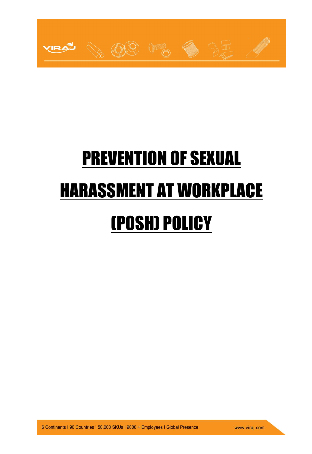

# PREVENTION OF SEXUAL HARASSMENT AT WORKPLACE (POSH) POLICY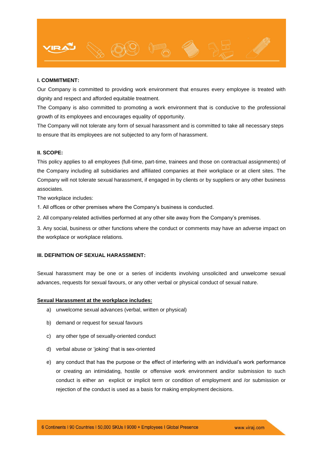

# **I. COMMITMENT:**

Our Company is committed to providing work environment that ensures every employee is treated with dignity and respect and afforded equitable treatment.

The Company is also committed to promoting a work environment that is conducive to the professional growth of its employees and encourages equality of opportunity.

The Company will not tolerate any form of sexual harassment and is committed to take all necessary steps to ensure that its employees are not subjected to any form of harassment.

# **II. SCOPE:**

This policy applies to all employees (full-time, part-time, trainees and those on contractual assignments) of the Company including all subsidiaries and affiliated companies at their workplace or at client sites. The Company will not tolerate sexual harassment, if engaged in by clients or by suppliers or any other business associates.

The workplace includes:

1. All offices or other premises where the Company's business is conducted.

2. All company-related activities performed at any other site away from the Company's premises.

3. Any social, business or other functions where the conduct or comments may have an adverse impact on the workplace or workplace relations.

# **III. DEFINITION OF SEXUAL HARASSMENT:**

Sexual harassment may be one or a series of incidents involving unsolicited and unwelcome sexual advances, requests for sexual favours, or any other verbal or physical conduct of sexual nature.

## **Sexual Harassment at the workplace includes:**

- a) unwelcome sexual advances (verbal, written or physical)
- b) demand or request for sexual favours
- c) any other type of sexually-oriented conduct
- d) verbal abuse or 'joking' that is sex-oriented
- e) any conduct that has the purpose or the effect of interfering with an individual's work performance or creating an intimidating, hostile or offensive work environment and/or submission to such conduct is either an explicit or implicit term or condition of employment and /or submission or rejection of the conduct is used as a basis for making employment decisions.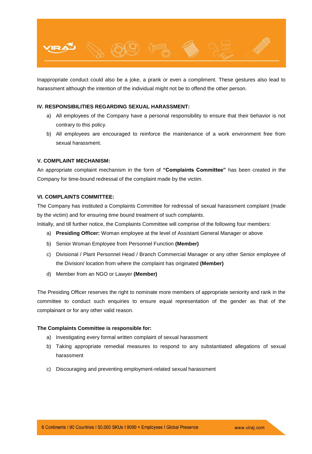

Inappropriate conduct could also be a joke, a prank or even a compliment. These gestures also lead to harassment although the intention of the individual might not be to offend the other person.

# **IV. RESPONSIBILITIES REGARDING SEXUAL HARASSMENT:**

- a) All employees of the Company have a personal responsibility to ensure that their behavior is not contrary to this policy.
- b) All employees are encouraged to reinforce the maintenance of a work environment free from sexual harassment.

# **V. COMPLAINT MECHANISM:**

An appropriate complaint mechanism in the form of **"Complaints Committee"** has been created in the Company for time-bound redressal of the complaint made by the victim.

# **VI. COMPLAINTS COMMITTEE:**

The Company has instituted a Complaints Committee for redressal of sexual harassment complaint (made by the victim) and for ensuring time bound treatment of such complaints.

Initially, and till further notice, the Complaints Committee will comprise of the following four members:

- a) **Presiding Officer:** Woman employee at the level of Assistant General Manager or above
- b) Senior Woman Employee from Personnel Function **(Member)**
- c) Divisional / Plant Personnel Head / Branch Commercial Manager or any other Senior employee of the Division/ location from where the complaint has originated **(Member)**
- d) Member from an NGO or Lawyer **(Member)**

The Presiding Officer reserves the right to nominate more members of appropriate seniority and rank in the committee to conduct such enquiries to ensure equal representation of the gender as that of the complainant or for any other valid reason.

# **The Complaints Committee is responsible for:**

- a) Investigating every formal written complaint of sexual harassment
- b) Taking appropriate remedial measures to respond to any substantiated allegations of sexual harassment
- c) Discouraging and preventing employment-related sexual harassment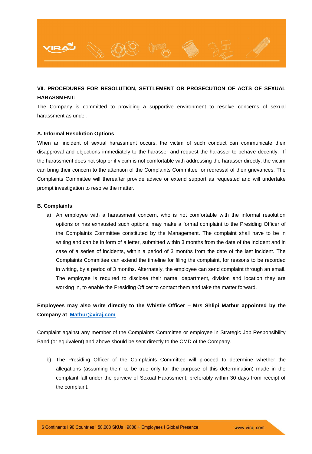

# **VII. PROCEDURES FOR RESOLUTION, SETTLEMENT OR PROSECUTION OF ACTS OF SEXUAL HARASSMENT:**

The Company is committed to providing a supportive environment to resolve concerns of sexual harassment as under:

## **A. Informal Resolution Options**

When an incident of sexual harassment occurs, the victim of such conduct can communicate their disapproval and objections immediately to the harasser and request the harasser to behave decently. If the harassment does not stop or if victim is not comfortable with addressing the harasser directly, the victim can bring their concern to the attention of the Complaints Committee for redressal of their grievances. The Complaints Committee will thereafter provide advice or extend support as requested and will undertake prompt investigation to resolve the matter.

### **B. Complaints**:

a) An employee with a harassment concern, who is not comfortable with the informal resolution options or has exhausted such options, may make a formal complaint to the Presiding Officer of the Complaints Committee constituted by the Management. The complaint shall have to be in writing and can be in form of a letter, submitted within 3 months from the date of the incident and in case of a series of incidents, within a period of 3 months from the date of the last incident. The Complaints Committee can extend the timeline for filing the complaint, for reasons to be recorded in writing, by a period of 3 months. Alternately, the employee can send complaint through an email. The employee is required to disclose their name, department, division and location they are working in, to enable the Presiding Officer to contact them and take the matter forward.

# **Employees may also write directly to the Whistle Officer – Mrs Shlipi Mathur appointed by the Company at [Mathur@viraj.com](mailto:Mathur@viraj.com)**

Complaint against any member of the Complaints Committee or employee in Strategic Job Responsibility Band (or equivalent) and above should be sent directly to the CMD of the Company.

b) The Presiding Officer of the Complaints Committee will proceed to determine whether the allegations (assuming them to be true only for the purpose of this determination) made in the complaint fall under the purview of Sexual Harassment, preferably within 30 days from receipt of the complaint.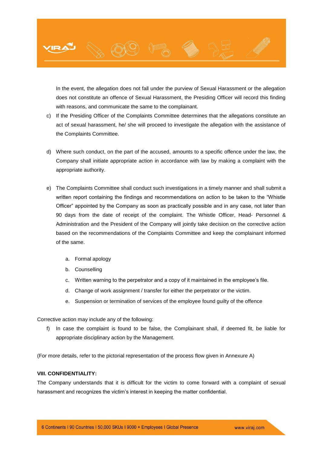

In the event, the allegation does not fall under the purview of Sexual Harassment or the allegation does not constitute an offence of Sexual Harassment, the Presiding Officer will record this finding with reasons, and communicate the same to the complainant.

- c) If the Presiding Officer of the Complaints Committee determines that the allegations constitute an act of sexual harassment, he/ she will proceed to investigate the allegation with the assistance of the Complaints Committee.
- d) Where such conduct, on the part of the accused, amounts to a specific offence under the law, the Company shall initiate appropriate action in accordance with law by making a complaint with the appropriate authority.
- e) The Complaints Committee shall conduct such investigations in a timely manner and shall submit a written report containing the findings and recommendations on action to be taken to the "Whistle Officer" appointed by the Company as soon as practically possible and in any case, not later than 90 days from the date of receipt of the complaint. The Whistle Officer, Head- Personnel & Administration and the President of the Company will jointly take decision on the corrective action based on the recommendations of the Complaints Committee and keep the complainant informed of the same.
	- a. Formal apology
	- b. Counselling
	- c. Written warning to the perpetrator and a copy of it maintained in the employee's file.
	- d. Change of work assignment / transfer for either the perpetrator or the victim.
	- e. Suspension or termination of services of the employee found guilty of the offence

Corrective action may include any of the following:

f) In case the complaint is found to be false, the Complainant shall, if deemed fit, be liable for appropriate disciplinary action by the Management.

(For more details, refer to the pictorial representation of the process flow given in Annexure A)

# **VIII. CONFIDENTIALITY:**

The Company understands that it is difficult for the victim to come forward with a complaint of sexual harassment and recognizes the victim's interest in keeping the matter confidential.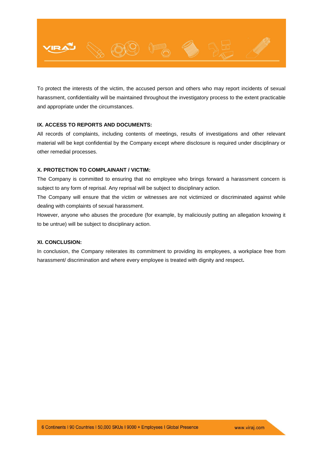

To protect the interests of the victim, the accused person and others who may report incidents of sexual harassment, confidentiality will be maintained throughout the investigatory process to the extent practicable and appropriate under the circumstances.

# **IX. ACCESS TO REPORTS AND DOCUMENTS:**

All records of complaints, including contents of meetings, results of investigations and other relevant material will be kept confidential by the Company except where disclosure is required under disciplinary or other remedial processes.

# **X. PROTECTION TO COMPLAINANT / VICTIM:**

The Company is committed to ensuring that no employee who brings forward a harassment concern is subject to any form of reprisal. Any reprisal will be subject to disciplinary action.

The Company will ensure that the victim or witnesses are not victimized or discriminated against while dealing with complaints of sexual harassment.

However, anyone who abuses the procedure (for example, by maliciously putting an allegation knowing it to be untrue) will be subject to disciplinary action.

# **XI. CONCLUSION:**

In conclusion, the Company reiterates its commitment to providing its employees, a workplace free from harassment/ discrimination and where every employee is treated with dignity and respect**.**